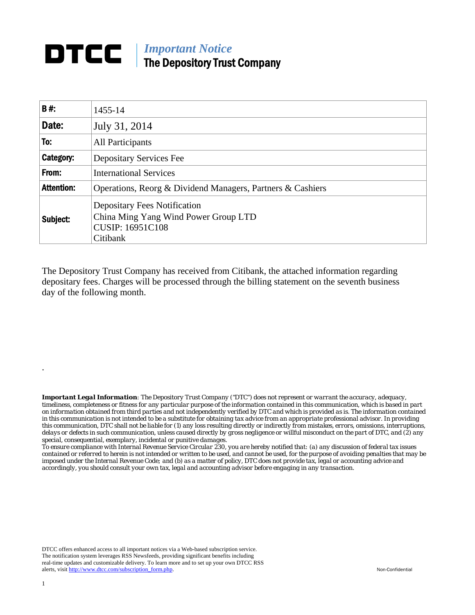## **DTCC** | *Important Notice* The Depository Trust Company

| B#:               | 1455-14                                                                                                            |
|-------------------|--------------------------------------------------------------------------------------------------------------------|
| Date:             | July 31, 2014                                                                                                      |
| To:               | All Participants                                                                                                   |
| Category:         | <b>Depositary Services Fee</b>                                                                                     |
| From:             | <b>International Services</b>                                                                                      |
| <b>Attention:</b> | Operations, Reorg & Dividend Managers, Partners & Cashiers                                                         |
| Subject:          | <b>Depositary Fees Notification</b><br>China Ming Yang Wind Power Group LTD<br><b>CUSIP: 16951C108</b><br>Citibank |

The Depository Trust Company has received from Citibank, the attached information regarding depositary fees. Charges will be processed through the billing statement on the seventh business day of the following month.

*Important Legal Information: The Depository Trust Company ("DTC") does not represent or warrant the accuracy, adequacy, timeliness, completeness or fitness for any particular purpose of the information contained in this communication, which is based in part on information obtained from third parties and not independently verified by DTC and which is provided as is. The information contained in this communication is not intended to be a substitute for obtaining tax advice from an appropriate professional advisor. In providing this communication, DTC shall not be liable for (1) any loss resulting directly or indirectly from mistakes, errors, omissions, interruptions, delays or defects in such communication, unless caused directly by gross negligence or willful misconduct on the part of DTC, and (2) any special, consequential, exemplary, incidental or punitive damages.* 

*To ensure compliance with Internal Revenue Service Circular 230, you are hereby notified that: (a) any discussion of federal tax issues contained or referred to herein is not intended or written to be used, and cannot be used, for the purpose of avoiding penalties that may be imposed under the Internal Revenue Code; and (b) as a matter of policy, DTC does not provide tax, legal or accounting advice and accordingly, you should consult your own tax, legal and accounting advisor before engaging in any transaction.*

DTCC offers enhanced access to all important notices via a Web-based subscription service. The notification system leverages RSS Newsfeeds, providing significant benefits including real-time updates and customizable delivery. To learn more and to set up your own DTCC RSS alerts, visit http://www.dtcc.com/subscription\_form.php. Non-Confidential

.